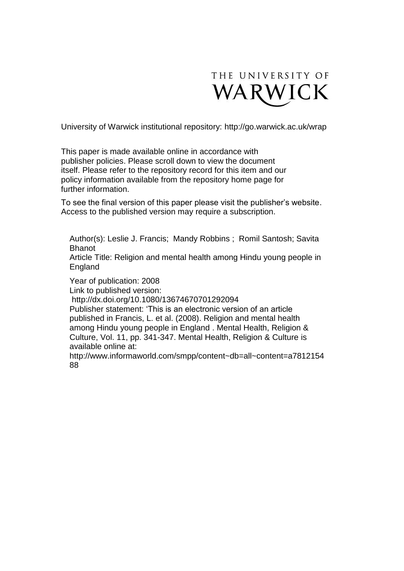

University of Warwick institutional repository:<http://go.warwick.ac.uk/wrap>

This paper is made available online in accordance with publisher policies. Please scroll down to view the document itself. Please refer to the repository record for this item and our policy information available from the repository home page for further information.

To see the final version of this paper please visit the publisher's website. Access to the published version may require a subscription.

Author(s): Leslie J. Francis; Mandy Robbins ; Romil Santosh; Savita Bhanot

Article Title: Religion and mental health among Hindu young people in England

Year of publication: 2008

Link to published version:

http://dx.doi.org/10.1080/13674670701292094

Publisher statement: 'This is an electronic version of an article published in Francis, L. et al. (2008). Religion and mental health among Hindu young people in England . Mental Health, Religion & Culture, Vol. 11, pp. 341-347. Mental Health, Religion & Culture is available online at:

http://www.informaworld.com/smpp/content~db=all~content=a7812154 88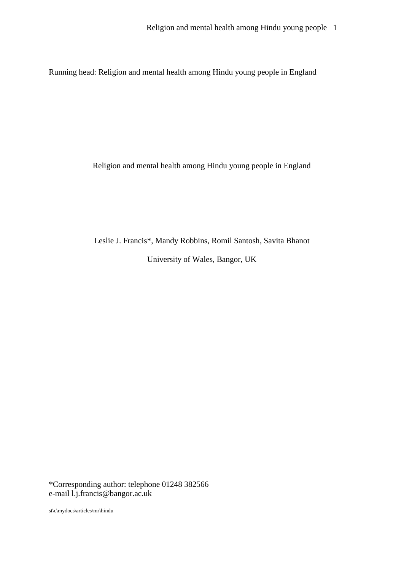Running head: Religion and mental health among Hindu young people in England

Religion and mental health among Hindu young people in England

Leslie J. Francis\*, Mandy Robbins, Romil Santosh, Savita Bhanot

University of Wales, Bangor, UK

\*Corresponding author: telephone 01248 382566 e-mail l.j.francis@bangor.ac.uk

st\c\mydocs\articles\mr\hindu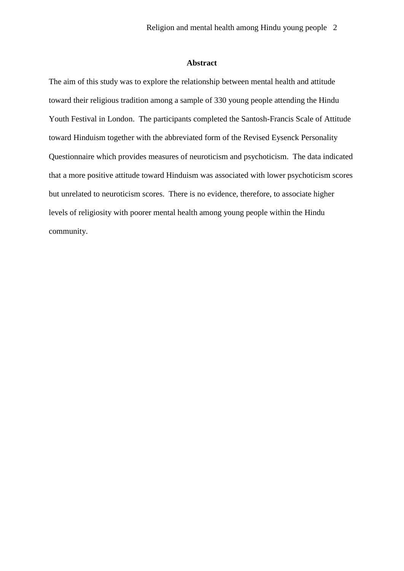# **Abstract**

The aim of this study was to explore the relationship between mental health and attitude toward their religious tradition among a sample of 330 young people attending the Hindu Youth Festival in London. The participants completed the Santosh-Francis Scale of Attitude toward Hinduism together with the abbreviated form of the Revised Eysenck Personality Questionnaire which provides measures of neuroticism and psychoticism. The data indicated that a more positive attitude toward Hinduism was associated with lower psychoticism scores but unrelated to neuroticism scores. There is no evidence, therefore, to associate higher levels of religiosity with poorer mental health among young people within the Hindu community.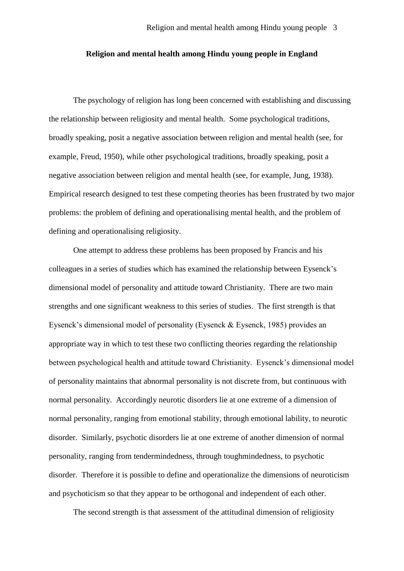## **Religion and mental health among Hindu young people in England**

The psychology of religion has long been concerned with establishing and discussing the relationship between religiosity and mental health. Some psychological traditions, broadly speaking, posit a negative association between religion and mental health (see, for example, Freud, 1950), while other psychological traditions, broadly speaking, posit a negative association between religion and mental health (see, for example, Jung, 1938). Empirical research designed to test these competing theories has been frustrated by two major problems: the problem of defining and operationalising mental health, and the problem of defining and operationalising religiosity.

One attempt to address these problems has been proposed by Francis and his colleagues in a series of studies which has examined the relationship between Eysenck's dimensional model of personality and attitude toward Christianity. There are two main strengths and one significant weakness to this series of studies. The first strength is that Eysenck's dimensional model of personality (Eysenck & Eysenck, 1985) provides an appropriate way in which to test these two conflicting theories regarding the relationship between psychological health and attitude toward Christianity. Eysenck's dimensional model of personality maintains that abnormal personality is not discrete from, but continuous with normal personality. Accordingly neurotic disorders lie at one extreme of a dimension of normal personality, ranging from emotional stability, through emotional lability, to neurotic disorder. Similarly, psychotic disorders lie at one extreme of another dimension of normal personality, ranging from tendermindedness, through toughmindedness, to psychotic disorder. Therefore it is possible to define and operationalize the dimensions of neuroticism and psychoticism so that they appear to be orthogonal and independent of each other.

The second strength is that assessment of the attitudinal dimension of religiosity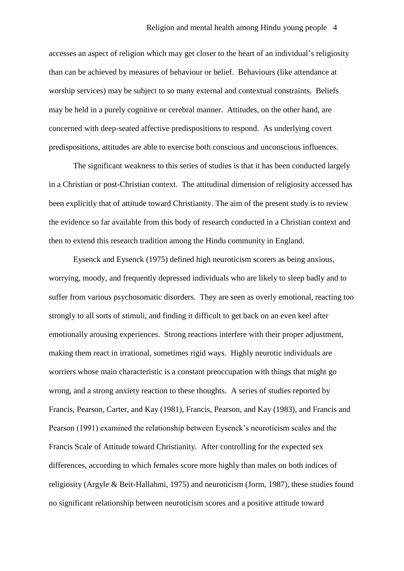accesses an aspect of religion which may get closer to the heart of an individual's religiosity than can be achieved by measures of behaviour or belief. Behaviours (like attendance at worship services) may be subject to so many external and contextual constraints. Beliefs may be held in a purely cognitive or cerebral manner. Attitudes, on the other hand, are concerned with deep-seated affective predispositions to respond. As underlying covert predispositions, attitudes are able to exercise both conscious and unconscious influences.

The significant weakness to this series of studies is that it has been conducted largely in a Christian or post-Christian context. The attitudinal dimension of religiosity accessed has been explicitly that of attitude toward Christianity. The aim of the present study is to review the evidence so far available from this body of research conducted in a Christian context and then to extend this research tradition among the Hindu community in England.

Eysenck and Eysenck (1975) defined high neuroticism scorers as being anxious, worrying, moody, and frequently depressed individuals who are likely to sleep badly and to suffer from various psychosomatic disorders. They are seen as overly emotional, reacting too strongly to all sorts of stimuli, and finding it difficult to get back on an even keel after emotionally arousing experiences. Strong reactions interfere with their proper adjustment, making them react in irrational, sometimes rigid ways. Highly neurotic individuals are worriers whose main characteristic is a constant preoccupation with things that might go wrong, and a strong anxiety reaction to these thoughts. A series of studies reported by Francis, Pearson, Carter, and Kay (1981), Francis, Pearson, and Kay (1983), and Francis and Pearson (1991) examined the relationship between Eysenck's neuroticism scales and the Francis Scale of Attitude toward Christianity. After controlling for the expected sex differences, according to which females score more highly than males on both indices of religiosity (Argyle & Beit-Hallahmi, 1975) and neuroticism (Jorm, 1987), these studies found no significant relationship between neuroticism scores and a positive attitude toward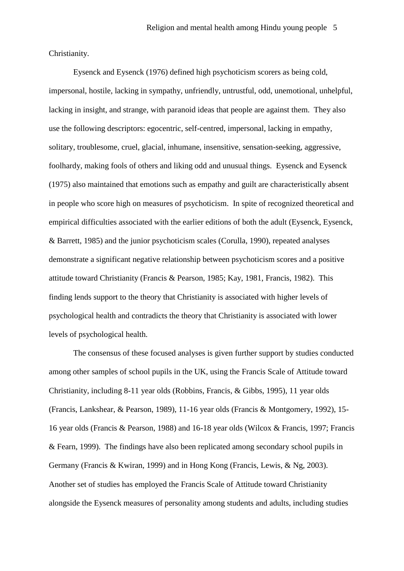Christianity.

Eysenck and Eysenck (1976) defined high psychoticism scorers as being cold, impersonal, hostile, lacking in sympathy, unfriendly, untrustful, odd, unemotional, unhelpful, lacking in insight, and strange, with paranoid ideas that people are against them. They also use the following descriptors: egocentric, self-centred, impersonal, lacking in empathy, solitary, troublesome, cruel, glacial, inhumane, insensitive, sensation-seeking, aggressive, foolhardy, making fools of others and liking odd and unusual things. Eysenck and Eysenck (1975) also maintained that emotions such as empathy and guilt are characteristically absent in people who score high on measures of psychoticism. In spite of recognized theoretical and empirical difficulties associated with the earlier editions of both the adult (Eysenck, Eysenck, & Barrett, 1985) and the junior psychoticism scales (Corulla, 1990), repeated analyses demonstrate a significant negative relationship between psychoticism scores and a positive attitude toward Christianity (Francis & Pearson, 1985; Kay, 1981, Francis, 1982). This finding lends support to the theory that Christianity is associated with higher levels of psychological health and contradicts the theory that Christianity is associated with lower levels of psychological health.

The consensus of these focused analyses is given further support by studies conducted among other samples of school pupils in the UK, using the Francis Scale of Attitude toward Christianity, including 8-11 year olds (Robbins, Francis, & Gibbs, 1995), 11 year olds (Francis, Lankshear, & Pearson, 1989), 11-16 year olds (Francis & Montgomery, 1992), 15- 16 year olds (Francis & Pearson, 1988) and 16-18 year olds (Wilcox & Francis, 1997; Francis & Fearn, 1999). The findings have also been replicated among secondary school pupils in Germany (Francis & Kwiran, 1999) and in Hong Kong (Francis, Lewis, & Ng, 2003). Another set of studies has employed the Francis Scale of Attitude toward Christianity alongside the Eysenck measures of personality among students and adults, including studies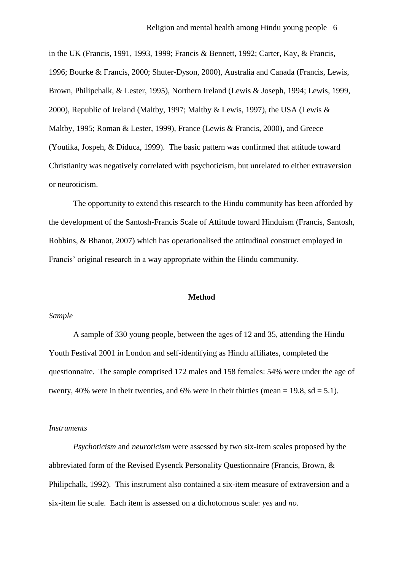in the UK (Francis, 1991, 1993, 1999; Francis & Bennett, 1992; Carter, Kay, & Francis, 1996; Bourke & Francis, 2000; Shuter-Dyson, 2000), Australia and Canada (Francis, Lewis, Brown, Philipchalk, & Lester, 1995), Northern Ireland (Lewis & Joseph, 1994; Lewis, 1999, 2000), Republic of Ireland (Maltby, 1997; Maltby & Lewis, 1997), the USA (Lewis & Maltby, 1995; Roman & Lester, 1999), France (Lewis & Francis, 2000), and Greece (Youtika, Jospeh, & Diduca, 1999). The basic pattern was confirmed that attitude toward Christianity was negatively correlated with psychoticism, but unrelated to either extraversion or neuroticism.

The opportunity to extend this research to the Hindu community has been afforded by the development of the Santosh-Francis Scale of Attitude toward Hinduism (Francis, Santosh, Robbins, & Bhanot, 2007) which has operationalised the attitudinal construct employed in Francis' original research in a way appropriate within the Hindu community.

## **Method**

# *Sample*

A sample of 330 young people, between the ages of 12 and 35, attending the Hindu Youth Festival 2001 in London and self-identifying as Hindu affiliates, completed the questionnaire. The sample comprised 172 males and 158 females: 54% were under the age of twenty, 40% were in their twenties, and 6% were in their thirties (mean  $= 19.8$ , sd  $= 5.1$ ).

# *Instruments*

*Psychoticism* and *neuroticism* were assessed by two six-item scales proposed by the abbreviated form of the Revised Eysenck Personality Questionnaire (Francis, Brown, & Philipchalk, 1992). This instrument also contained a six-item measure of extraversion and a six-item lie scale. Each item is assessed on a dichotomous scale: *yes* and *no*.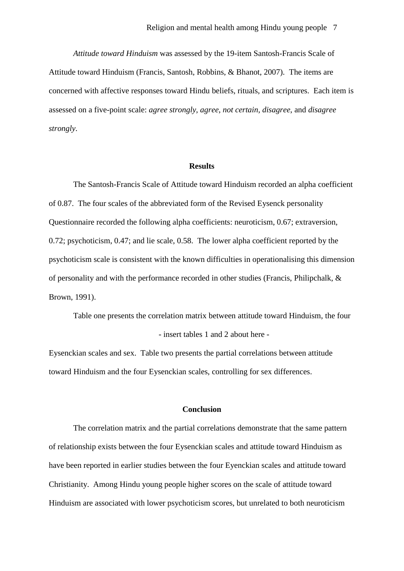*Attitude toward Hinduism* was assessed by the 19-item Santosh-Francis Scale of Attitude toward Hinduism (Francis, Santosh, Robbins, & Bhanot, 2007). The items are concerned with affective responses toward Hindu beliefs, rituals, and scriptures. Each item is assessed on a five-point scale: *agree strongly*, *agree*, *not certain*, *disagree*, and *disagree strongly*.

#### **Results**

The Santosh-Francis Scale of Attitude toward Hinduism recorded an alpha coefficient of 0.87. The four scales of the abbreviated form of the Revised Eysenck personality Questionnaire recorded the following alpha coefficients: neuroticism, 0.67; extraversion, 0.72; psychoticism, 0.47; and lie scale, 0.58. The lower alpha coefficient reported by the psychoticism scale is consistent with the known difficulties in operationalising this dimension of personality and with the performance recorded in other studies (Francis, Philipchalk, & Brown, 1991).

Table one presents the correlation matrix between attitude toward Hinduism, the four

# - insert tables 1 and 2 about here -

Eysenckian scales and sex. Table two presents the partial correlations between attitude toward Hinduism and the four Eysenckian scales, controlling for sex differences.

## **Conclusion**

The correlation matrix and the partial correlations demonstrate that the same pattern of relationship exists between the four Eysenckian scales and attitude toward Hinduism as have been reported in earlier studies between the four Eyenckian scales and attitude toward Christianity. Among Hindu young people higher scores on the scale of attitude toward Hinduism are associated with lower psychoticism scores, but unrelated to both neuroticism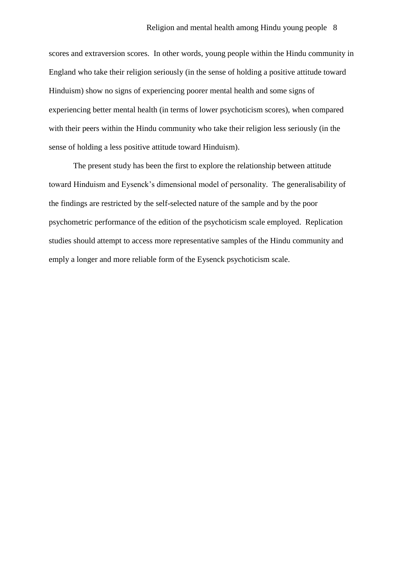scores and extraversion scores. In other words, young people within the Hindu community in England who take their religion seriously (in the sense of holding a positive attitude toward Hinduism) show no signs of experiencing poorer mental health and some signs of experiencing better mental health (in terms of lower psychoticism scores), when compared with their peers within the Hindu community who take their religion less seriously (in the sense of holding a less positive attitude toward Hinduism).

The present study has been the first to explore the relationship between attitude toward Hinduism and Eysenck's dimensional model of personality. The generalisability of the findings are restricted by the self-selected nature of the sample and by the poor psychometric performance of the edition of the psychoticism scale employed. Replication studies should attempt to access more representative samples of the Hindu community and emply a longer and more reliable form of the Eysenck psychoticism scale.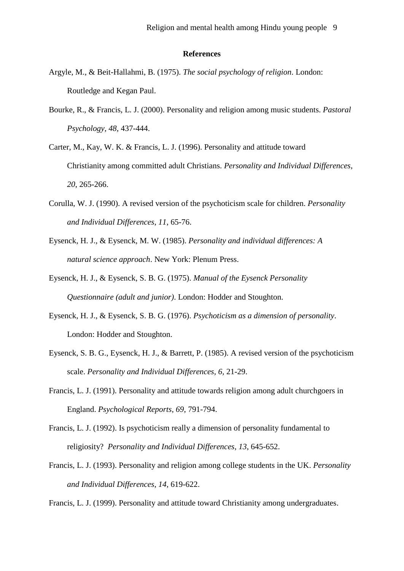# **References**

- Argyle, M., & Beit-Hallahmi, B. (1975). *The social psychology of religion*. London: Routledge and Kegan Paul.
- Bourke, R., & Francis, L. J. (2000). Personality and religion among music students. *Pastoral Psychology*, *48*, 437-444.
- Carter, M., Kay, W. K. & Francis, L. J. (1996). Personality and attitude toward Christianity among committed adult Christians. *Personality and Individual Differences*, *20*, 265-266.
- Corulla, W. J. (1990). A revised version of the psychoticism scale for children. *Personality and Individual Differences*, *11*, 65-76.
- Eysenck, H. J., & Eysenck, M. W. (1985). *Personality and individual differences: A natural science approach*. New York: Plenum Press.
- Eysenck, H. J., & Eysenck, S. B. G. (1975). *Manual of the Eysenck Personality Questionnaire (adult and junior)*. London: Hodder and Stoughton.
- Eysenck, H. J., & Eysenck, S. B. G. (1976). *Psychoticism as a dimension of personality*. London: Hodder and Stoughton.
- Eysenck, S. B. G., Eysenck, H. J., & Barrett, P. (1985). A revised version of the psychoticism scale. *Personality and Individual Differences, 6,* 21-29.
- Francis, L. J. (1991). Personality and attitude towards religion among adult churchgoers in England. *Psychological Reports*, *69*, 791-794.
- Francis, L. J. (1992). Is psychoticism really a dimension of personality fundamental to religiosity? *Personality and Individual Differences*, *13*, 645-652.
- Francis, L. J. (1993). Personality and religion among college students in the UK. *Personality and Individual Differences*, *14*, 619-622.
- Francis, L. J. (1999). Personality and attitude toward Christianity among undergraduates.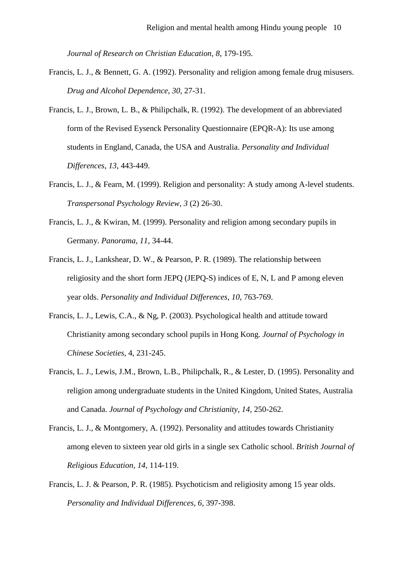*Journal of Research on Christian Education*, *8*, 179-195.

- Francis, L. J., & Bennett, G. A. (1992). Personality and religion among female drug misusers. *Drug and Alcohol Dependence*, *30*, 27-31.
- Francis, L. J., Brown, L. B., & Philipchalk, R. (1992). The development of an abbreviated form of the Revised Eysenck Personality Questionnaire (EPQR-A): Its use among students in England, Canada, the USA and Australia. *Personality and Individual Differences*, *13*, 443-449.
- Francis, L. J., & Fearn, M. (1999). Religion and personality: A study among A-level students. *Transpersonal Psychology Review*, *3* (2) 26-30.
- Francis, L. J., & Kwiran, M. (1999). Personality and religion among secondary pupils in Germany. *Panorama*, *11*, 34-44.
- Francis, L. J., Lankshear, D. W., & Pearson, P. R. (1989). The relationship between religiosity and the short form JEPQ (JEPQ-S) indices of E, N, L and P among eleven year olds. *Personality and Individual Differences*, *10*, 763-769.
- Francis, L. J., Lewis, C.A., & Ng, P. (2003). Psychological health and attitude toward Christianity among secondary school pupils in Hong Kong. *Journal of Psychology in Chinese Societies*, 4, 231-245.
- Francis, L. J., Lewis, J.M., Brown, L.B., Philipchalk, R., & Lester, D. (1995). Personality and religion among undergraduate students in the United Kingdom, United States, Australia and Canada. *Journal of Psychology and Christianity*, *14*, 250-262.
- Francis, L. J., & Montgomery, A. (1992). Personality and attitudes towards Christianity among eleven to sixteen year old girls in a single sex Catholic school. *British Journal of Religious Education*, *14,* 114-119.
- Francis, L. J. & Pearson, P. R. (1985). Psychoticism and religiosity among 15 year olds. *Personality and Individual Differences*, *6*, 397-398.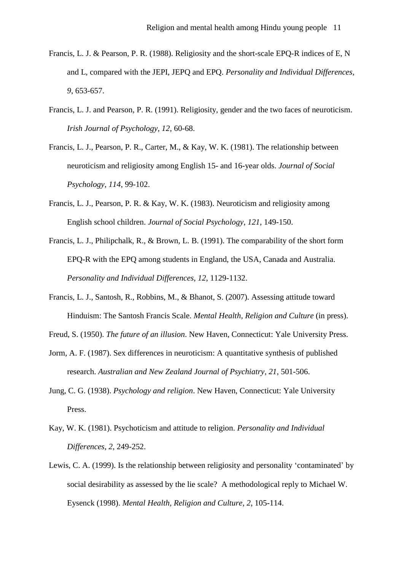- Francis, L. J. & Pearson, P. R. (1988). Religiosity and the short-scale EPQ-R indices of E, N and L, compared with the JEPI, JEPQ and EPQ. *Personality and Individual Differences*, *9*, 653-657.
- Francis, L. J. and Pearson, P. R. (1991). Religiosity, gender and the two faces of neuroticism. *Irish Journal of Psychology*, *12*, 60-68.
- Francis, L. J., Pearson, P. R., Carter, M., & Kay, W. K. (1981). The relationship between neuroticism and religiosity among English 15- and 16-year olds. *Journal of Social Psychology*, *114*, 99-102.
- Francis, L. J., Pearson, P. R. & Kay, W. K. (1983). Neuroticism and religiosity among English school children. *Journal of Social Psychology*, *121*, 149-150.
- Francis, L. J., Philipchalk, R., & Brown, L. B. (1991). The comparability of the short form EPQ-R with the EPQ among students in England, the USA, Canada and Australia. *Personality and Individual Differences*, *12*, 1129-1132.
- Francis, L. J., Santosh, R., Robbins, M., & Bhanot, S. (2007). Assessing attitude toward Hinduism: The Santosh Francis Scale. *Mental Health, Religion and Culture* (in press).
- Freud, S. (1950). *The future of an illusion*. New Haven, Connecticut: Yale University Press.
- Jorm, A. F. (1987). Sex differences in neuroticism: A quantitative synthesis of published research. *Australian and New Zealand Journal of Psychiatry*, *21*, 501-506.
- Jung, C. G. (1938). *Psychology and religion*. New Haven, Connecticut: Yale University Press.
- Kay, W. K. (1981). Psychoticism and attitude to religion. *Personality and Individual Differences*, *2*, 249-252.
- Lewis, C. A. (1999). Is the relationship between religiosity and personality 'contaminated' by social desirability as assessed by the lie scale? A methodological reply to Michael W. Eysenck (1998). *Mental Health, Religion and Culture*, *2*, 105-114.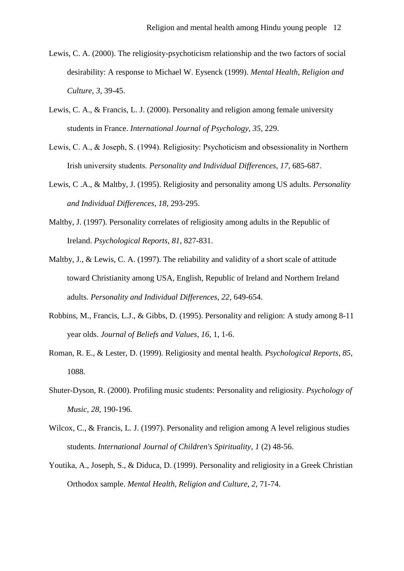- Lewis, C. A. (2000). The religiosity-psychoticism relationship and the two factors of social desirability: A response to Michael W. Eysenck (1999). *Mental Health, Religion and Culture*, *3*, 39-45.
- Lewis, C. A., & Francis, L. J. (2000). Personality and religion among female university students in France. *International Journal of Psychology*, *35*, 229.
- Lewis, C. A., & Joseph, S. (1994). Religiosity: Psychoticism and obsessionality in Northern Irish university students. *Personality and Individual Differences*, *17*, 685-687.
- Lewis, C .A., & Maltby, J. (1995). Religiosity and personality among US adults. *Personality and Individual Differences*, *18*, 293-295.
- Maltby, J. (1997). Personality correlates of religiosity among adults in the Republic of Ireland. *Psychological Reports*, *81*, 827-831.
- Maltby, J., & Lewis, C. A. (1997). The reliability and validity of a short scale of attitude toward Christianity among USA, English, Republic of Ireland and Northern Ireland adults. *Personality and Individual Differences*, *22*, 649-654.
- Robbins, M., Francis, L.J., & Gibbs, D. (1995). Personality and religion: A study among 8-11 year olds. *Journal of Beliefs and Values*, *16*, 1, 1-6.
- Roman, R. E., & Lester, D. (1999). Religiosity and mental health. *Psychological Reports*, *85*, 1088.
- Shuter-Dyson, R. (2000). Profiling music students: Personality and religiosity. *Psychology of Music*, *28*, 190-196.
- Wilcox, C., & Francis, L. J. (1997). Personality and religion among A level religious studies students. *International Journal of Children's Spirituality*, *1* (2) 48-56.
- Youtika, A., Joseph, S., & Diduca, D. (1999). Personality and religiosity in a Greek Christian Orthodox sample. *Mental Health, Religion and Culture*, *2*, 71-74.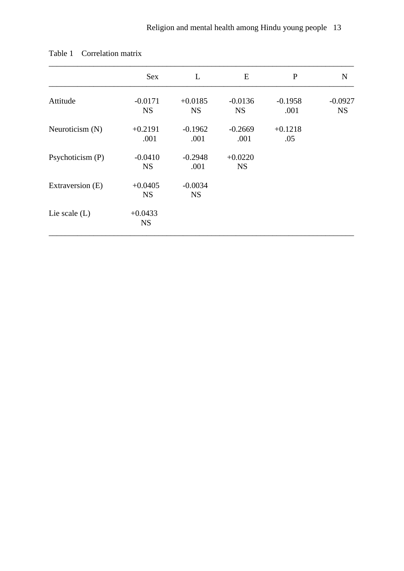|                    | Sex                    | L                      | E                      | $\mathbf{P}$      | N                      |
|--------------------|------------------------|------------------------|------------------------|-------------------|------------------------|
| Attitude           | $-0.0171$<br><b>NS</b> | $+0.0185$<br><b>NS</b> | $-0.0136$<br><b>NS</b> | $-0.1958$<br>.001 | $-0.0927$<br><b>NS</b> |
| Neuroticism (N)    | $+0.2191$<br>.001      | $-0.1962$<br>.001      | $-0.2669$<br>.001      | $+0.1218$<br>.05  |                        |
| Psychoticism $(P)$ | $-0.0410$<br><b>NS</b> | $-0.2948$<br>.001      | $+0.0220$<br><b>NS</b> |                   |                        |
| Extraversion (E)   | $+0.0405$<br><b>NS</b> | $-0.0034$<br><b>NS</b> |                        |                   |                        |
| Lie scale $(L)$    | $+0.0433$<br><b>NS</b> |                        |                        |                   |                        |

# Table 1 Correlation matrix